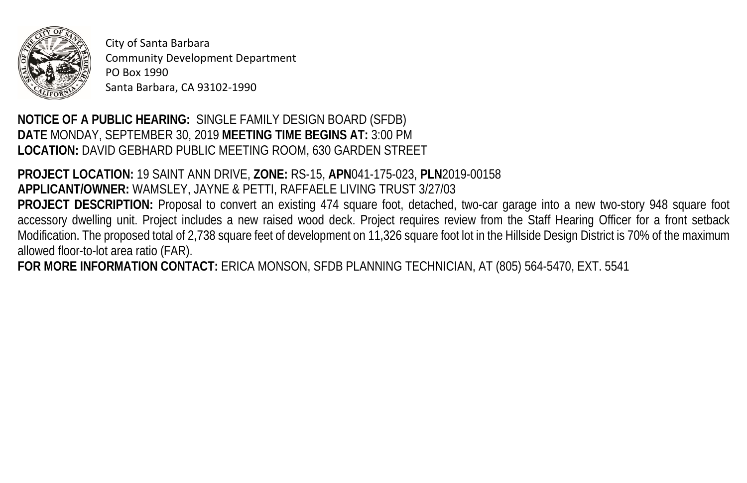

City of Santa Barbara Community Development Department PO Box 1990 Santa Barbara, CA 93102-1990

## **NOTICE OF A PUBLIC HEARING:** SINGLE FAMILY DESIGN BOARD (SFDB) **DATE** MONDAY, SEPTEMBER 30, 2019 **MEETING TIME BEGINS AT:** 3:00 PM **LOCATION:** DAVID GEBHARD PUBLIC MEETING ROOM, 630 GARDEN STREET

**PROJECT LOCATION:** 19 SAINT ANN DRIVE, **ZONE:** RS-15, **APN**041-175-023, **PLN**2019-00158 **APPLICANT/OWNER:** WAMSLEY, JAYNE & PETTI, RAFFAELE LIVING TRUST 3/27/03 **PROJECT DESCRIPTION:** Proposal to convert an existing 474 square foot, detached, two-car garage into a new two-story 948 square foot accessory dwelling unit. Project includes a new raised wood deck. Project requires review from the Staff Hearing Officer for a front setback Modification. The proposed total of 2,738 square feet of development on 11,326 square foot lot in the Hillside Design District is 70% of the maximum allowed floor-to-lot area ratio (FAR).

**FOR MORE INFORMATION CONTACT:** ERICA MONSON, SFDB PLANNING TECHNICIAN, AT (805) 564-5470, EXT. 5541